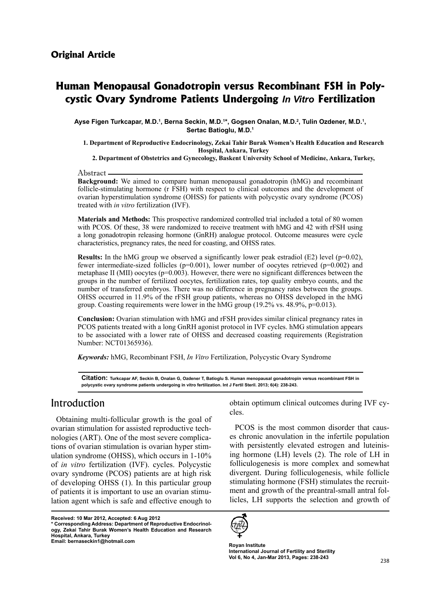# **Example 2** *Fertilization Cystic* **Ovary Syndrome Patients Undergoing** *In Vitro* **Fertilization Human Menopausal Gonadotropin versus Recombinant FSH in Poly-**

Ayse Figen Turkcapar, M.D.<sup>1</sup>, Berna Seckin, M.D.<sup>1</sup>\*, Gogsen Onalan, M.D.<sup>2</sup>, Tulin Ozdener, M.D.<sup>1</sup>, Sertac Batioglu, M.D.<sup>1</sup>

**1. Department of Reproductive Endocrinology, Zekai Tahir Burak Women's Health Education and Research Hospital, Ankara, Turkey** 

2. Department of Obstetrics and Gynecology, Baskent University School of Medicine, Ankara, Turkey,

Abstract

**Background:** We aimed to compare human menopausal gonadotropin (hMG) and recombinant follicle-stimulating hormone (r FSH) with respect to clinical outcomes and the development of ovarian hyperstimulation syndrome (OHSS) for patients with polycystic ovary syndrome (PCOS) treated with *in vitro* fertilization *(IVF)*.

**Materials and Methods:** This prospective randomized controlled trial included a total of 80 women with PCOS. Of these, 38 were randomized to receive treatment with hMG and 42 with rFSH using a long gonadotropin releasing hormone (GnRH) analogue protocol. Outcome measures were cycle characteristics, pregnancy rates, the need for coasting, and OHSS rates.

**Results:** In the hMG group we observed a significantly lower peak estradiol (E2) level ( $p=0.02$ ), fewer intermediate-sized follicles ( $p=0.001$ ), lower number of oocytes retrieved ( $p=0.002$ ) and metaphase II (MII) oocytes ( $p=0.003$ ). However, there were no significant differences between the groups in the number of fertilized oocytes, fertilization rates, top quality embryo counts, and the number of transferred embryos. There was no difference in pregnancy rates between the groups.  $O$ HSS occurred in 11.9% of the rFSH group patients, whereas no OHSS developed in the hMG group. Coasting requirements were lower in the hMG group  $(19.2\% \text{ vs. } 48.9\%, \text{p=0.013}).$ 

**Conclusion:** Ovarian stimulation with hMG and rFSH provides similar clinical pregnancy rates in PCOS patients treated with a long GnRH agonist protocol in IVF cycles. hMG stimulation appears to be associated with a lower rate of OHSS and decreased coasting requirements (Registration Number: NCT01365936).

Keywords: hMG, Recombinant FSH, *In Vitro* Fertilization, Polycystic Ovary Syndrome

Citation: Turkcapar AF, Seckin B, Onalan G, Ozdener T, Batioglu S. Human menopausal gonadotropin versus recombinant FSH in polycystic ovary syndrome patients undergoing in vitro fertilization. Int J Fertil Steril. 2013; 6(4): 238-243.

### Introduction

Obtaining multi-follicular growth is the goal of ulation syndrome (OHSS), which occurs in  $1-10\%$ tions of ovarian stimulation is ovarian hyper stimnologies (ART). One of the most severe complicaovarian stimulation for assisted reproductive techof *in vitro* fertilization *(IVF)*. cycles. Polycystic ovary syndrome (PCOS) patients are at high risk of developing OHSS  $(1)$ . In this particular group lation agent which is safe and effective enough to of patients it is important to use an ovarian stimu-

**Received: 10 Mar 2012, Accepted: 6 Aug 2012** ogy, Zekai Tahir Burak Women's Health Education and Research  $*$  Corresponding Address: Department of Reproductive Endocrinol-**Hospital, Ankara, Turkey** Email: bernaseckin1@hotmail.com

obtain optimum clinical outcomes during IVF cy-<br>cles.

es chronic anovulation in the infertile population PCOS is the most common disorder that causing hormone  $(LH)$  levels  $(2)$ . The role of  $LH$  in with persistently elevated estrogen and luteinisfolliculogenesis is more complex and somewhat divergent. During folliculogenesis, while follicle licles, LH supports the selection and growth of ment and growth of the preantral-small antral folstimulating hormone (FSH) stimulates the recruit-



**Royan Institute International Journal of Fertility and Sterility** Vol 6, No 4, Jan-Mar 2013, Pages: 238-243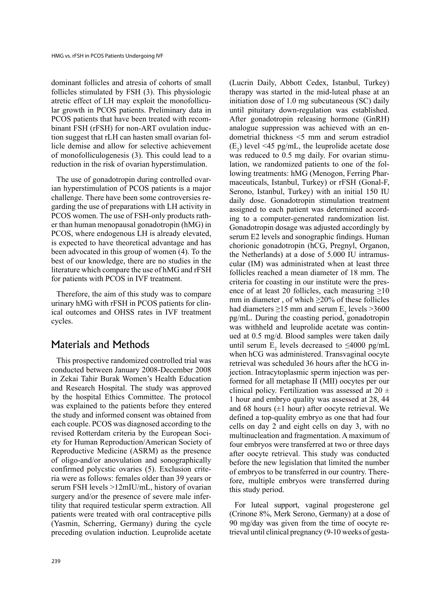dominant follicles and atresia of cohorts of small follicles stimulated by FSH  $(3)$ . This physiologic lar growth in PCOS patients. Preliminary data in atretic effect of LH may exploit the monofolliculicle demise and allow for selective achievement tion suggest that rLH can hasten small ovarian folbinant FSH (rFSH) for non-ART ovulation induc-PCOS patients that have been treated with recomof monofolliculogenesis (3). This could lead to a reduction in the risk of ovarian hyperstimulation.

ian hyperstimulation of PCOS patients is a major The use of gonadotropin during controlled ovargarding the use of preparations with LH activity in challenge. There have been some controversies re $er than human menopausal gonadotropin (hMG) in$ PCOS women. The use of FSH-only products rath-PCOS, where endogenous LH is already elevated, is expected to have theoretical advantage and has been advocated in this group of women  $(4)$ . To the best of our knowledge, there are no studies in the literature which compare the use of hMG and rFSH for patients with PCOS in IVF treatment.

Therefore, the aim of this study was to compare urinary hMG with rFSH in PCOS patients for clin-<br>ical-outcomes and OHSS rates in IVF treatment cycles.

## Materials and Methods

This prospective randomized controlled trial was conducted between January 2008-December 2008 in Zekai Tahir Burak Women's Health Education and Research Hospital. The study was approved by the hospital Ethics Committee. The protocol was explained to the patients before they entered the study and informed consent was obtained from each couple. PCOS was diagnosed according to the ety for Human Reproduction/American Society of revised Rotterdam criteria by the European Soci-Reproductive Medicine (ASRM) as the presence of oligo-and/or anovulation and sonographically ria were as follows: females older than 39 years or confirmed polycstic ovaries (5). Exclusion criteserum FSH levels >12mIU/mL, history of ovarian tility that required testicular sperm extraction. All surgery and/or the presence of severe male inferpatients were treated with oral contraceptive pills (Yasmin, Scherring, Germany) during the cycle preceding ovulation induction. Leuprolide acetate

(Lucrin Daily, Abbott Cedex, Istanbul, Turkey) therapy was started in the mid-luteal phase at an initiation dose of  $1.0$  mg subcutaneous (SC) daily until pituitary down-regulation was established. After gonadotropin releasing hormone (GnRH) dometrial thickness  $\leq$  mm and serum estradiol analogue suppression was achieved with an en- $(E_2)$  level <45 pg/mL, the leuprolide acetate dose maceuticals, Istanbul, Turkey) or rFSH (Gonal-F, lowing treatments: hMG (Menogon, Ferring Pharlation, we randomized patients to one of the folwas reduced to 0.5 mg daily. For ovarian stimu-Serono, Istanbul, Turkey) with an initial 150 IU daily dose. Gonadotropin stimulation treatment ing to a computer-generated randomization list. assigned to each patient was determined accord-Gonadotropin dosage was adjusted accordingly by serum E2 levels and sonographic findings. Human chorionic gonadotropin (hCG, Pregnyl, Organon, cular (IM) was administrated when at least three the Netherlands) at a dose of 5.000 IU intramusfollicles reached a mean diameter of 18 mm. The ence of at least 20 follicles, each measuring  $\geq 10$ criteria for coasting in our institute were the presmm in diameter, of which  $\geq$ 20% of these follicles had diameters  $\geq$ 15 mm and serum  $E_2$  levels  $>$ 3600  $pg/mL$ . During the coasting period, gonadotropin ued at  $0.5 \text{ mg/d}$ . Blood samples were taken daily was withheld and leuprolide acetate was continuntil serum  $E_2$  levels decreased to  $\leq 4000$  pg/mL when hCG was administered. Transvaginal oocyte jection. Intracytoplasmic sperm injection was per-<br>formed-for all metaphase II (MII) oocytes per our retrieval was scheduled 36 hours after the hCG in-<br>jection. Intracytoplasmic sperm injection was perclinical policy. Fertilization was assessed at  $20 \pm$ 1 hour and embryo quality was assessed at 28, 44 and 68 hours  $(\pm 1$  hour) after oocyte retrieval. We defined a top-quality embryo as one that had four cells on day  $2$  and eight cells on day  $3$ , with no multinucleation and fragmentation. A maximum of four embryos were transferred at two or three days after oocyte retrieval. This study was conducted before the new legislation that limited the number fore, multiple embryos were transferred during of embryos to be transferred in our country. Therethis study period.

For luteal support, vaginal progesterone gel (Crinone  $8\%$ , Merk Serono, Germany) at a dose of trieval until clinical pregnancy  $(9-10$  weeks of gesta-90 mg/day was given from the time of oocyte re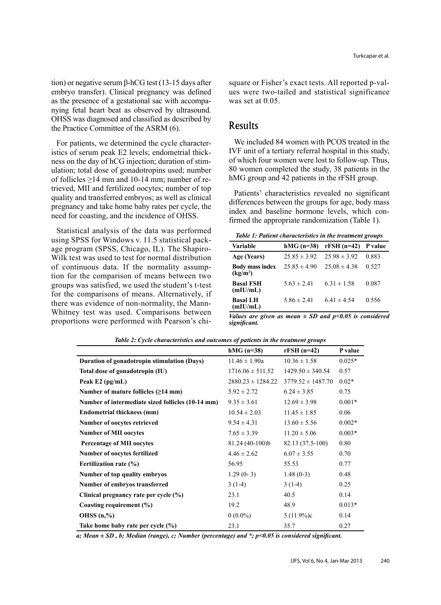tion) or negative serum β-hCG test (13-15 days after embryo transfer). Clinical pregnancy was defined nying fetal heart beat as observed by ultrasound. as the presence of a gestational sac with accompa-OHSS was diagnosed and classified as described by the Practice Committee of the ASRM (6).

ulation; total dose of gonadotropins used; number ness on the day of hCG injection; duration of stimistics of serum peak E2 levels; endometrial thick-For patients, we determined the cycle charactertrieved, MII and fertilized oocytes; number of top of follicles  $\geq 14$  mm and 10-14 mm; number of requality and transferred embryos: as well as clinical pregnancy and take home baby rates per cycle, the need for coasting, and the incidence of OHSS.

Statistical analysis of the data was performed Wilk test was used to test for normal distribution age program (SPSS, Chicago, IL). The Shapirousing SPSS for Windows v. 11.5 statistical packtion for the comparison of means between two of continuous data. If the normality assumpgroups was satisfied, we used the student's t-test for the comparisons of means. Alternatively, if Whitney test was used. Comparisons between there was evidence of non-normality, the Mannproportions were performed with Pearson's chisquare or Fisher's exact tests. All reported p-values were two-tailed and statistical significance was set at  $0.05$ .

### Results

*Table 1: Patient characteristics in the treatment groups* 

| ues were two-tailed and statistical significance<br>was set at 0.05.                                                                                                                                                                                                                                                   |                                | square or Fisher's exact tests. All reported p-val- |                  |
|------------------------------------------------------------------------------------------------------------------------------------------------------------------------------------------------------------------------------------------------------------------------------------------------------------------------|--------------------------------|-----------------------------------------------------|------------------|
| Results                                                                                                                                                                                                                                                                                                                |                                |                                                     |                  |
| We included 84 women with PCOS treated in the<br>IVF unit of a tertiary referral hospital in this study.<br>of which four women were lost to follow-up. Thus,<br>80 women completed the study, 38 patients in the<br>hMG group and 42 patients in the rFSH group.<br>Patients' characteristics revealed no significant |                                |                                                     |                  |
| differences between the groups for age, body mass<br>index and baseline hormone levels, which con-<br>firmed the appropriate randomization (Table 1).                                                                                                                                                                  |                                |                                                     |                  |
| Table 1: Patient characteristics in the treatment groups                                                                                                                                                                                                                                                               |                                |                                                     |                  |
| Variable<br>Age (Years)                                                                                                                                                                                                                                                                                                | hMG (n=38)<br>$25.85 \pm 3.92$ | $rFSH(n=42)$<br>$25.98 \pm 3.92$                    | P value<br>0.883 |
| <b>Body mass index</b> $25.85 \pm 4.90$<br>(kg/m <sup>2</sup> )                                                                                                                                                                                                                                                        |                                | $25.08 \pm 4.38$                                    |                  |
| <b>Basal FSH</b><br>(mIU/mL)                                                                                                                                                                                                                                                                                           | $5.63 \pm 2.41$                | $6.31 \pm 1.58$                                     | 0.527<br>0.087   |

*Values are given as mean*  $\pm$  *SD and p*<0.05 *is considered .significant*

|                                                   | $hMG(n=38)$           | $rFSH(n=42)$          | P value  |
|---------------------------------------------------|-----------------------|-----------------------|----------|
| Duration of gonadotropin stimulation (Days)       | $11.46 \pm 1.90a$     | $10.36 \pm 1.58$      | $0.025*$ |
| Total dose of gonadotropin (IU)                   | $1716.06 \pm 511.52$  | $1429.50 \pm 340.54$  | 0.57     |
| Peak $E2$ (pg/mL)                                 | $2880.23 \pm 1284.22$ | $3779.52 \pm 1487.70$ | $0.02*$  |
| Number of mature follicles $(\geq 14$ mm)         | $5.92 \pm 2.72$       | $6.24 \pm 3.85$       | 0.75     |
| Number of intermediate sized follicles (10-14 mm) | $9.35 \pm 3.61$       | $12.69 \pm 3.98$      | $0.001*$ |
| <b>Endometrial thickness (mm)</b>                 | $10.54 \pm 2.03$      | $11.45 \pm 1.85$      | 0.06     |
| Number of oocytes retrieved                       | $9.54 \pm 4.31$       | $13.60 \pm 5.56$      | $0.002*$ |
| <b>Number of MII oocytes</b>                      | $7.65 \pm 3.39$       | $11.20 \pm 5.06$      | $0.003*$ |
| <b>Percentage of MII oocytes</b>                  | 81.24 (40-100)b       | 82.13 (37.5-100)      | 0.80     |
| <b>Number of oocytes fertilized</b>               | $4.46 \pm 2.62$       | $6.07 \pm 3.55$       | 0.70     |
| Fertilization rate (%)                            | 56.95                 | 55.53                 | 0.77     |
| Number of top quality embryos                     | $1.29(0-3)$           | $1.48(0-3)$           | 0.48     |
| Number of embryos transferred                     | $3(1-4)$              | $3(1-4)$              | 0.25     |
| Clinical pregnancy rate per cycle $(\% )$         | 23.1                  | 40.5                  | 0.14     |
| Coasting requirement (%)                          | 19.2                  | 48.9                  | $0.013*$ |
| OHSS $(n, %$                                      | $0(0.0\%)$            | $5(11.9\%)c$          | 0.14     |
| Take home baby rate per cycle (%)                 | 23.1                  | 35.7                  | 0.27     |

Table 2: Cycle characteristics and outcomes of patients in the treatment groups

a; Mean  $\pm$  SD, b; Median (range), c; Number (percentage) and \*; p<0.05 is considered significant.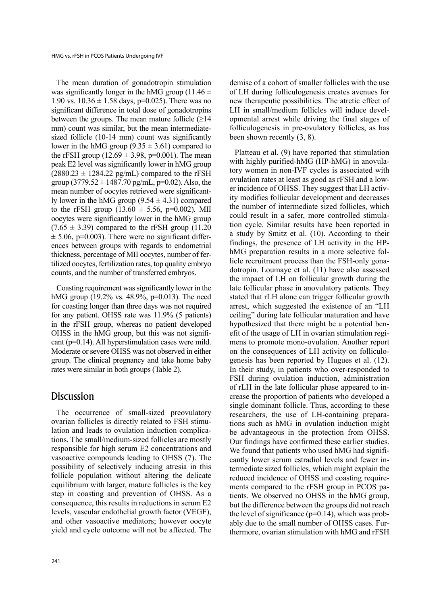The mean duration of gonadotropin stimulation was significantly longer in the hMG group (11.46  $\pm$ 1.90 vs.  $10.36 \pm 1.58$  days, p=0.025). There was no significant difference in total dose of gonadotropins between the groups. The mean mature follicle  $(\geq 14)$ sized follicle  $(10-14 \text{ mm})$  count was significantly mm) count was similar, but the mean intermediatelower in the hMG group  $(9.35 \pm 3.61)$  compared to the rFSH group  $(12.69 \pm 3.98, p=0.001)$ . The mean peak E2 level was significantly lower in hMG group  $(2880.23 \pm 1284.22 \text{ pg/mL})$  compared to the rFSH group  $(3779.52 \pm 1487.70 \text{ pg/mL}, p=0.02)$ . Also, the ly lower in the hMG group  $(9.54 \pm 4.31)$  compared mean number of oocytes retrieved were significantto the rFSH group  $(13.60 \pm 5.56, \text{p=0.002})$ . MII oocytes were significantly lower in the hMG group  $(7.65 \pm 3.39)$  compared to the rFSH group  $(11.20)$ ences between groups with regards to endometrial  $\pm$  5.06, p=0.003). There were no significant differtilized oocytes, fertilization rates, top quality embryo thickness, percentage of MII oocytes, number of fercounts, and the number of transferred embryos.

Coasting requirement was significantly lower in the hMG group (19.2% vs. 48.9%, p=0.013). The need for coasting longer than three days was not required for any patient. OHSS rate was  $11.9\%$  (5 patients) in the rFSH group, whereas no patient developed cant ( $p=0.14$ ). All hyperstimulation cases were mild. OHSS in the hMG group, but this was not signifi-Moderate or severe OHSS was not observed in either group. The clinical pregnancy and take home baby rates were similar in both groups (Table 2).

# **Discussion**

The occurrence of small-sized preovulatory tions. The small/medium-sized follicles are mostly lation and leads to ovulation induction complicaovarian follicles is directly related to FSH stimuresponsible for high serum E2 concentrations and vasoactive compounds leading to OHSS (7). The possibility of selectively inducing atresia in this follicle population without altering the delicate equilibrium with larger, mature follicles is the key step in coasting and prevention of OHSS. As a consequence, this results in reductions in serum  $E2$ levels, vascular endothelial growth factor (VEGF), and other vasoactive mediators; however oocyte yield and cycle outcome will not be affected. The

demise of a cohort of smaller follicles with the use of LH during folliculogenesis creates avenues for new therapeutic possibilities. The atretic effect of opmental arrest while driving the final stages of LH in small/medium follicles will induce develfolliculogenesis in pre-ovulatory follicles, as has been shown recently  $(3, 8)$ .

Platteau et al. (9) have reported that stimulation tory women in non-IVF cycles is associated with with highly purified-hMG (HP-hMG) in anovulaity modifies follicular development and decreases er incidence of OHSS. They suggest that LH activovulation rates at least as good as rFSH and a lowthe number of intermediate sized follicles, which tion cycle. Similar results have been reported in could result in a safer, more controlled stimulaa study by Smitz et al.  $(10)$ . According to their licle recruitment process than the FSH-only gona-<br>dotropin. Loumaye et al. (11) have also assessed hMG preparation results in a more selective fol-<br>licle recruitment process than the FSH-only gonahMG preparation results in a more selective folfindings, the presence of LH activity in the HPthe impact of LH on follicular growth during the late follicular phase in anovulatory patients. They stated that rLH alone can trigger follicular growth arrest, which suggested the existence of an "LH ceiling" during late follicular maturation and have mens to promote mono-ovulation. Another report efit of the usage of LH in ovarian stimulation regihypothesized that there might be a potential bengenesis has been reported by Hugues et al.  $(12)$ . on the consequences of LH activity on folliculo-In their study, in patients who over-responded to FSH during ovulation induction, administration crease the proportion of patients who developed a of rLH in the late follicular phase appeared to insingle dominant follicle. Thus, according to these tions such as hMG in ovulation induction might researchers, the use of LH-containing preparabe advantageous in the protection from OHSS. Our findings have confirmed these earlier studies. termediate sized follicles, which might explain the cantly lower serum estradiol levels and fewer in-We found that patients who used hMG had signifiments compared to the rFSH group in PCOS patients. We observed no OHSS in the hMG group, reduced incidence of OHSS and coasting require-<br>ments-compared to the rFSH group in PCOS pareduced incidence of OHSS and coasting requirebut the difference between the groups did not reach thermore, ovarian stimulation with hMG and rFSH ably due to the small number of OHSS cases. Furthe level of significance ( $p=0.14$ ), which was prob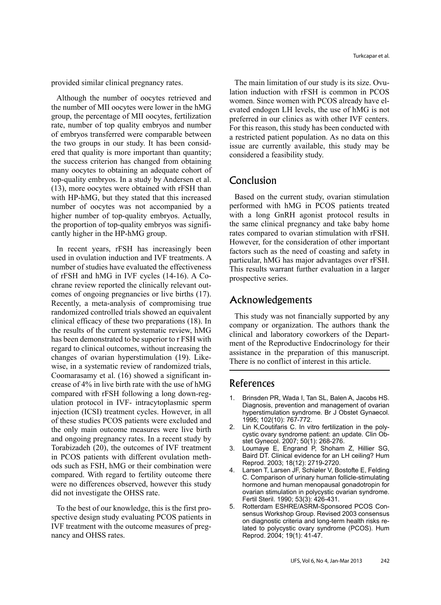provided similar clinical pregnancy rates.

Although the number of oocytes retrieved and the number of MII oocytes were lower in the hMG group, the percentage of MII oocytes, fertilization rate, number of top quality embryos and number of embryos transferred were comparable between ered that quality is more important than quantity; the two groups in our study. It has been considthe success criterion has changed from obtaining many oocytes to obtaining an adequate cohort of top-quality embryos. In a study by Andersen et al.  $(13)$ , more oocytes were obtained with rFSH than with HP-hMG, but they stated that this increased number of oocytes was not accompanied by a higher number of top-quality embryos. Actually, the proportion of top-quality embryos was signifi-<br>cantly higher in the HP-hMG group.

In recent years, rFSH has increasingly been used in ovulation induction and IVF treatments. A number of studies have evaluated the effectiveness chrane review reported the clinically relevant out-<br>comes of ongoing pregnancies or live births (17). of rFSH and hMG in IVF cycles (14-16). A Co-<br>chrane review reported the clinically relevant outof  $rFSH$  and hMG in IVF cycles  $(14-16)$ . A Co-Recently, a meta-analysis of compromising true randomized controlled trials showed an equivalent clinical efficacy of these two preparations  $(18)$ . In the results of the current systematic review, hMG has been demonstrated to be superior to r FSH with regard to clinical outcomes, without increasing the wise, in a systematic review of randomized trials, changes of ovarian hyperstimulation (19). Likecrease of  $4\%$  in live birth rate with the use of hMG Coomarasamy et al.  $(16)$  showed a significant inulation protocol in IVF- intracytoplasmic sperm compared with rFSH following a long down-reginjection (ICSI) treatment cycles. However, in all of these studies PCOS patients were excluded and the only main outcome measures were live birth and ongoing pregnancy rates. In a recent study by Torabizadeh  $(20)$ , the outcomes of IVF treatment ods such as FSH, hMG or their combination were in PCOS patients with different ovulation methcompared. With regard to fertility outcome there were no differences observed, however this study did not investigate the OHSS rate.

spective design study evaluating PCOS patients in To the best of our knowledge, this is the first pro-IVF treatment with the outcome measures of preg-<br>nancy and OHSS rates.

lation induction with rFSH is common in PCOS The main limitation of our study is its size. Ovuevated endogen LH levels, the use of hMG is not women. Since women with PCOS already have elpreferred in our clinics as with other IVF centers. For this reason, this study has been conducted with. a restricted patient population. As no data on this issue are currently available, this study may be considered a feasibility study.

### Conclusion

Based on the current study, ovarian stimulation performed with hMG in PCOS patients treated with a long GnRH agonist protocol results in the same clinical pregnancy and take baby home rates compared to ovarian stimulation with rFSH. However, for the consideration of other important factors such as the need of coasting and safety in particular, hMG has major advantages over rFSH. This results warrant further evaluation in a larger prospective series.

### Acknowledgements

This study was not financially supported by any company or organization. The authors thank the ment of the Reproductive Endocrinology for their clinical and laboratory coworkers of the Departassistance in the preparation of this manuscript. There is no conflict of interest in this article.

### References

- 1. Brinsden PR, Wada I, Tan SL, Balen A, Jacobs HS. Diagnosis, prevention and management of ovarian hyperstimulation syndrome. Br J Obstet Gynaecol. 1995; 102(10): 767-772.
- cystic ovary syndrome patient: an update. Clin Ob-<br>stet Gynecol. 2007; 50(1): 268-276. Lin K,Coutifaris C. In vitro fertilization in the poly-<br>cystic ovary syndrome patient: an update. Clin Ob-2. Lin K, Coutifaris C. In vitro fertilization in the poly-
- 3. Loumaye E, Engrand P, Shoham Z, Hillier SG, Baird DT. Clinical evidence for an LH ceiling? Hum Reprod. 2003; 18(12): 2719-2720.
- 4. Larsen T, Larsen JF, Schiøler V, Bostofte E, Felding C. Comparison of urinary human follicle-stimulating hormone and human menopausal gonadotropin for ovarian stimulation in polycystic ovarian syndrome. Fertil Steril. 1990; 53(3): 426-431.
- sensus Workshop Group. Revised 2003 consensus 5. Rotterdam ESHRE/ASRM-Sponsored PCOS Conlated to polycystic ovary syndrome (PCOS). Hum on diagnostic criteria and long-term health risks re-Reprod. 2004; 19(1): 41-47.